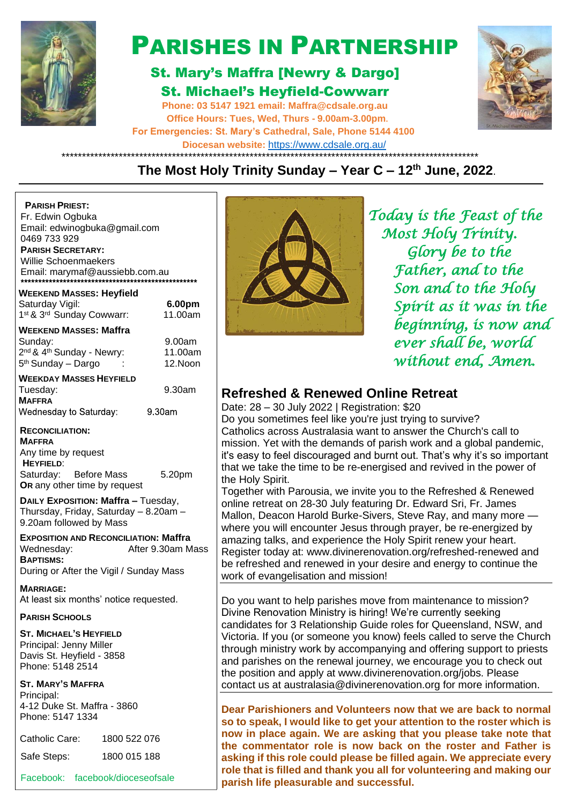

# PARISHES IN PARTNERSHIP

## St. Mary's Maffra [Newry & Dargo] St. Michael's Heyfield-Cowwarr

**Phone: 03 5147 1921 email: [Maffra@cdsale.org.au](about:blank) Office Hours: Tues, Wed, Thurs - 9.00am-3.00pm. For Emergencies: St. Mary's Cathedral, Sale, Phone 5144 4100 Diocesan website:** https:/[/www.cdsale.org.au/](about:blank)



#### \*\*\*\*\*\*\*\*\*\*\*\*\*\*\*\*\*\*\*\*\*\*\*\*\*\*\*\*\*\*\*\*\*\*\*\*\*\*\*\*\*\*\*\*\*\*\*\*\*\*\*\*\*\*\*\*\*\*\*\*\*\*\*\*\*\*\*\*\*\*\*\*\*\*\*\*\*\*\*\*\*\*\*\*\*\*\*\*\*\*\*\*\*\*\*\*\*\*\*\*\*\* **The Most Holy Trinity Sunday – Year C – 12th June, 2022**.

| <b>PARISH PRIEST:</b><br>Fr. Edwin Ogbuka<br>Email: edwinogbuka@gmail.com<br>0469 733 929<br><b>PARISH SECRETARY:</b><br>Willie Schoenmaekers<br>Email: marymaf@aussiebb.com.au |                              |                                       |
|---------------------------------------------------------------------------------------------------------------------------------------------------------------------------------|------------------------------|---------------------------------------|
| <b>WEEKEND MASSES: Heyfield</b><br>Saturday Vigil:<br>1st & 3rd Sunday Cowwarr:                                                                                                 | 6.00pm<br>11.00am            |                                       |
| <b>WEEKEND MASSES: Maffra</b><br>Sunday:<br>2 <sup>nd</sup> & 4 <sup>th</sup> Sunday - Newry:<br>5 <sup>th</sup> Sunday - Dargo                                                 | 9.00am<br>11.00am<br>12.Noon |                                       |
| <b>WEEKDAY MASSES HEYFIELD</b><br>Tuesday:<br><b>MAFFRA</b><br>Wednesday to Saturday:                                                                                           | 9.30am<br>9.30am             | R٤<br>Da                              |
| <b>RECONCILIATION:</b><br><b>MAFFRA</b><br>Any time by request<br><b>HEYFIELD:</b><br>Saturday: Before Mass<br>OR any other time by request                                     | 5.20pm                       | Do<br>Ca<br>mis<br>it's<br>tha<br>the |
| DAILY EXPOSITION: Maffra - Tuesday,<br>Thursday, Friday, Saturday - 8.20am -<br>9.20am followed by Mass                                                                         |                              | T٥<br>onl<br>Ма<br>wh                 |
| <b>EXPOSITION AND RECONCILIATION: Maffra</b><br>Wednesday:<br><b>BAPTISMS:</b><br>During or After the Vigil / Sunday Mass                                                       | After 9.30am Mass            | am<br>Re<br>be<br><b>WO</b>           |
| <b>MARRIAGE:</b><br>At least six months' notice requested.                                                                                                                      |                              | Do                                    |
| <b>PARISH SCHOOLS</b>                                                                                                                                                           |                              | Div                                   |
| <b>ST. MICHAEL'S HEYFIELD</b><br>Principal: Jenny Miller<br>Davis St. Heyfield - 3858<br>Phone: 5148 2514                                                                       |                              | car<br>Vic<br>thr<br>an<br>the        |
| <b>ST. MARY'S MAFFRA</b><br>Principal:<br>4-12 Duke St. Maffra - 3860<br>Phone: 5147 1334                                                                                       |                              | COI<br>De                             |
| Catholic Care:<br>1800 522 076                                                                                                                                                  |                              | SΟ<br>no                              |

Safe Steps: 1800 015 188



 *Today is the Feast of the Most Holy Trinity. Glory be to the Father, and to the Son and to the Holy Spirit as it was in the beginning, is now and ever shall be, world without end, Amen.* 

## **Refreshed & Renewed Online Retreat**

te: 28 – 30 July 2022 | Registration: \$20

you sometimes feel like you're just trying to survive? tholics across Australasia want to answer the Church's call to ssion. Yet with the demands of parish work and a global pandemic, easy to feel discouraged and burnt out. That's why it's so important at we take the time to be re-energised and revived in the power of **Holy Spirit.** 

gether with Parousia, we invite you to the Refreshed & Renewed line retreat on 28-30 July featuring Dr. Edward Sri, Fr. James allon, Deacon Harold Burke-Sivers, Steve Ray, and many more ere you will encounter Jesus through prayer, be re-energized by azing talks, and experience the Holy Spirit renew your heart. gister today at: www.divinerenovation.org/refreshed-renewed and refreshed and renewed in your desire and energy to continue the rk of evangelisation and mission!

you want to help parishes move from maintenance to mission? vine Renovation Ministry is hiring! We're currently seeking ndidates for 3 Relationship Guide roles for Queensland, NSW, and toria. If you (or someone you know) feels called to serve the Church ough ministry work by accompanying and offering support to priests d parishes on the renewal journey, we encourage you to check out position and apply at www.divinerenovation.org/jobs. Please ntact us at australasia@divinerenovation.org for more information.

**Dear Parishioners and Volunteers now that we are back to normal so to speak, I would like to get your attention to the roster which is now in place again. We are asking that you please take note that the commentator role is now back on the roster and Father is asking if this role could please be filled again. We appreciate every role that is filled and thank you all for volunteering and making our**  Facebook: facebook/dioceseofsale **parish life pleasurable and successful.**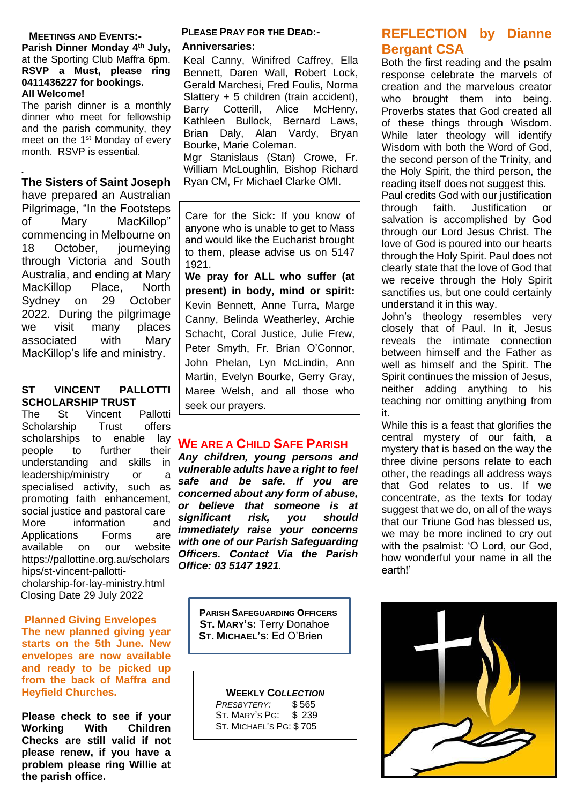#### **MEETINGS AND EVENTS:-**

**Parish Dinner Monday 4 th July,**  at the Sporting Club Maffra 6pm. **RSVP a Must, please ring 0411436227 for bookings. All Welcome!**

The parish dinner is a monthly dinner who meet for fellowship and the parish community, they meet on the 1<sup>st</sup> Monday of every month. RSVP is essential.

#### **. The Sisters of Saint Joseph**

have prepared an Australian Pilgrimage, "In the Footsteps of Mary MacKillop" commencing in Melbourne on 18 October, journeying through Victoria and South Australia, and ending at Mary MacKillop Place, North Sydney on 29 October 2022. During the pilgrimage we visit many places associated with Mary MacKillop's life and ministry.

#### **ST VINCENT PALLOTTI SCHOLARSHIP TRUST**

The St Vincent Pallotti Scholarship Trust offers scholarships to enable lay people to further their understanding and skills in leadership/ministry or a specialised activity, such as promoting faith enhancement, social justice and pastoral care More information and Applications Forms are available on our website [https://pallottine.org.au/scholars](https://pallottine.org.au/scholarships/st-vincent-pallotti-) [hips/st-vincent-pallotti](https://pallottine.org.au/scholarships/st-vincent-pallotti-)cholarship-for-lay-ministry.html Closing Date 29 July 2022

#### **Planned Giving Envelopes**

**The new planned giving year starts on the 5th June. New envelopes are now available and ready to be picked up from the back of Maffra and Heyfield Churches.**

**Please check to see if your Working With Children Checks are still valid if not please renew, if you have a problem please ring Willie at the parish office.**

#### **PLEASE PRAY FOR THE DEAD:- Anniversaries:**

Keal Canny, Winifred Caffrey, Ella Bennett, Daren Wall, Robert Lock, Gerald Marchesi, Fred Foulis, Norma Slattery + 5 children (train accident), Barry Cotterill, Alice McHenry, Kathleen Bullock, Bernard Laws, Brian Daly, Alan Vardy, Bryan Bourke, Marie Coleman. Mgr Stanislaus (Stan) Crowe, Fr. William McLoughlin, Bishop Richard Ryan CM, Fr Michael Clarke OMI.

Care for the Sick**:** If you know of anyone who is unable to get to Mass and would like the Eucharist brought to them, please advise us on 5147 1921.

**We pray for ALL who suffer (at present) in body, mind or spirit:**  Kevin Bennett, Anne Turra, Marge Canny, Belinda Weatherley, Archie Schacht, Coral Justice, Julie Frew, Peter Smyth, Fr. Brian O'Connor, John Phelan, Lyn McLindin, Ann Martin, Evelyn Bourke, Gerry Gray, Maree Welsh, and all those who seek our prayers.

## **WE ARE A CHILD SAFE PARISH**

*Any children, young persons and vulnerable adults have a right to feel safe and be safe. If you are concerned about any form of abuse, or believe that someone is at significant risk, you should immediately raise your concerns with one of our Parish Safeguarding Officers. Contact Via the Parish Office: 03 5147 1921.*

> **PARISH SAFEGUARDING OFFICERS ST. MARY'S:** Terry Donahoe  **ST. MICHAEL'S**: Ed O'Brien

#### **WEEKLY CO***LLECTION*

 *PRESBYTERY:* \$ 565 ST. MARY'S PG: \$ 239 ST. MICHAEL'S PG: \$ 705

## **REFLECTION by Dianne Bergant CSA**

Both the first reading and the psalm response celebrate the marvels of creation and the marvelous creator who brought them into being. Proverbs states that God created all of these things through Wisdom. While later theology will identify Wisdom with both the Word of God, the second person of the Trinity, and the Holy Spirit, the third person, the reading itself does not suggest this. Paul credits God with our justification<br>through faith. Justification or through faith. Justification or salvation is accomplished by God through our Lord Jesus Christ. The love of God is poured into our hearts through the Holy Spirit. Paul does not clearly state that the love of God that we receive through the Holy Spirit sanctifies us, but one could certainly understand it in this way.

John's theology resembles very closely that of Paul. In it, Jesus reveals the intimate connection between himself and the Father as well as himself and the Spirit. The Spirit continues the mission of Jesus, neither adding anything to his teaching nor omitting anything from it.

While this is a feast that glorifies the central mystery of our faith, a mystery that is based on the way the three divine persons relate to each other, the readings all address ways that God relates to us. If we concentrate, as the texts for today suggest that we do, on all of the ways that our Triune God has blessed us, we may be more inclined to cry out with the psalmist: 'O Lord, our God, how wonderful your name in all the earth!'

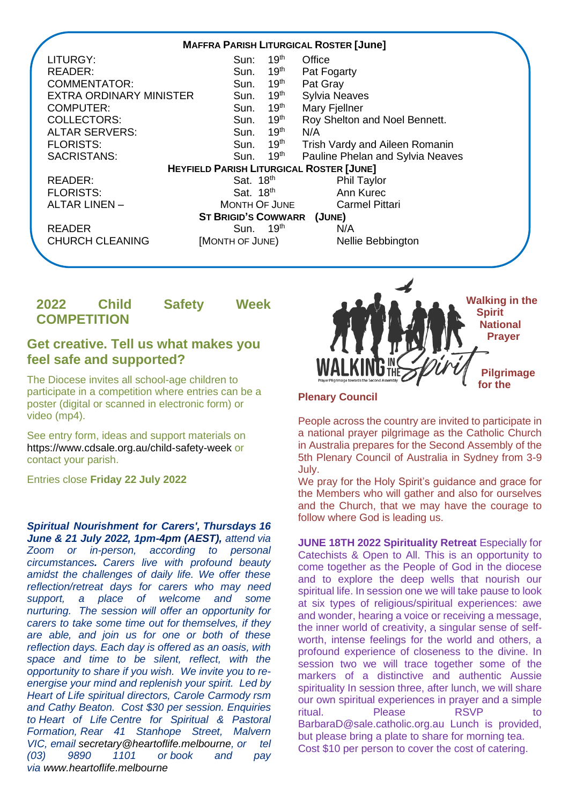

## **2022 Child Safety Week COMPETITION**

## **Get creative. Tell us what makes you feel safe and supported?**

The Diocese invites all school-age children to participate in a competition where entries can be a poster (digital or scanned in electronic form) or video (mp4).

See entry form, ideas and support materials on <https://www.cdsale.org.au/child-safety-week> or contact your parish.

Entries close **Friday 22 July 2022**

*Spiritual Nourishment for Carers', Thursdays 16 June & 21 July 2022, 1pm-4pm (AEST), attend via Zoom or in-person, according to personal circumstances. Carers live with profound beauty amidst the challenges of daily life. We offer these reflection/retreat days for carers who may need support, a place of welcome and some nurturing. The session will offer an opportunity for carers to take some time out for themselves, if they are able, and join us for one or both of these reflection days. Each day is offered as an oasis, with space and time to be silent, reflect, with the opportunity to share if you wish. We invite you to reenergise your mind and replenish your spirit. Led by Heart of Life spiritual directors, Carole Carmody rsm and Cathy Beaton. Cost \$30 per session. Enquiries to Heart of Life Centre for Spiritual & Pastoral Formation, Rear 41 Stanhope Street, Malvern VIC, email [secretary@heartoflife.melbourne,](mailto:secretary@heartoflife.melbourne) or tel (03) 9890 1101 or book and pay via [www.heartoflife.melbourne](http://www.heartoflife.melbourne/)*



#### **Plenary Council**

People across the country are invited to participate in a national prayer pilgrimage as the Catholic Church in Australia prepares for the Second Assembly of the 5th Plenary Council of Australia in Sydney from 3-9 July.

We pray for the Holy Spirit's guidance and grace for the Members who will gather and also for ourselves and the Church, that we may have the courage to follow where God is leading us.

**JUNE 18TH 2022 Spirituality Retreat** Especially for Catechists & Open to All. This is an opportunity to come together as the People of God in the diocese and to explore the deep wells that nourish our spiritual life. In session one we will take pause to look at six types of religious/spiritual experiences: awe and wonder, hearing a voice or receiving a message, the inner world of creativity, a singular sense of selfworth, intense feelings for the world and others, a profound experience of closeness to the divine. In session two we will trace together some of the markers of a distinctive and authentic Aussie spirituality In session three, after lunch, we will share our own spiritual experiences in prayer and a simple ritual. Please RSVP to BarbaraD@sale.catholic.org.au Lunch is provided, but please bring a plate to share for morning tea. Cost \$10 per person to cover the cost of catering.